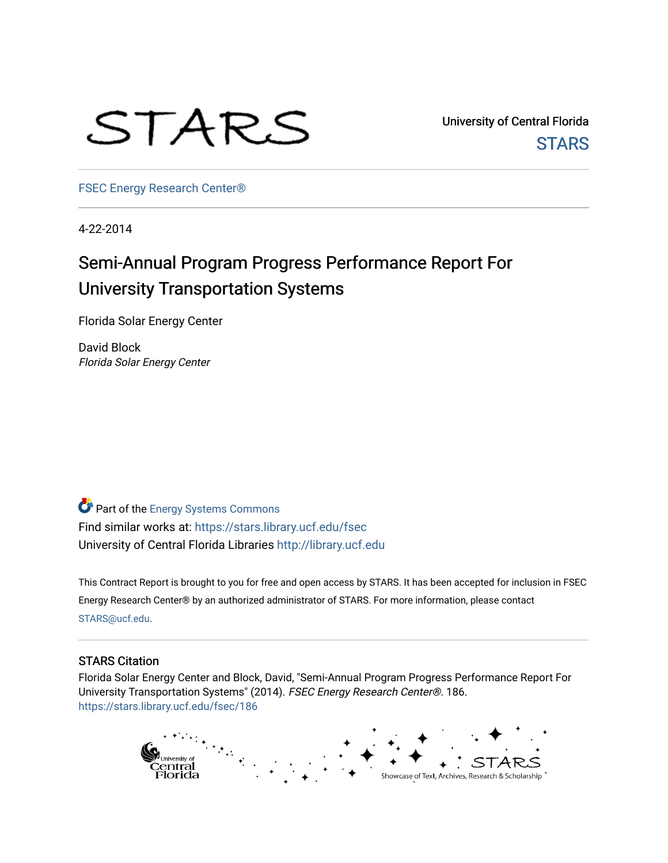

University of Central Florida **STARS** 

[FSEC Energy Research Center®](https://stars.library.ucf.edu/fsec) 

4-22-2014

# Semi-Annual Program Progress Performance Report For University Transportation Systems

Florida Solar Energy Center

David Block Florida Solar Energy Center

Part of the [Energy Systems Commons](http://network.bepress.com/hgg/discipline/299?utm_source=stars.library.ucf.edu%2Ffsec%2F186&utm_medium=PDF&utm_campaign=PDFCoverPages)  Find similar works at: <https://stars.library.ucf.edu/fsec> University of Central Florida Libraries [http://library.ucf.edu](http://library.ucf.edu/) 

This Contract Report is brought to you for free and open access by STARS. It has been accepted for inclusion in FSEC Energy Research Center® by an authorized administrator of STARS. For more information, please contact [STARS@ucf.edu](mailto:STARS@ucf.edu).

#### STARS Citation

Florida Solar Energy Center and Block, David, "Semi-Annual Program Progress Performance Report For University Transportation Systems" (2014). FSEC Energy Research Center®. 186. [https://stars.library.ucf.edu/fsec/186](https://stars.library.ucf.edu/fsec/186?utm_source=stars.library.ucf.edu%2Ffsec%2F186&utm_medium=PDF&utm_campaign=PDFCoverPages)

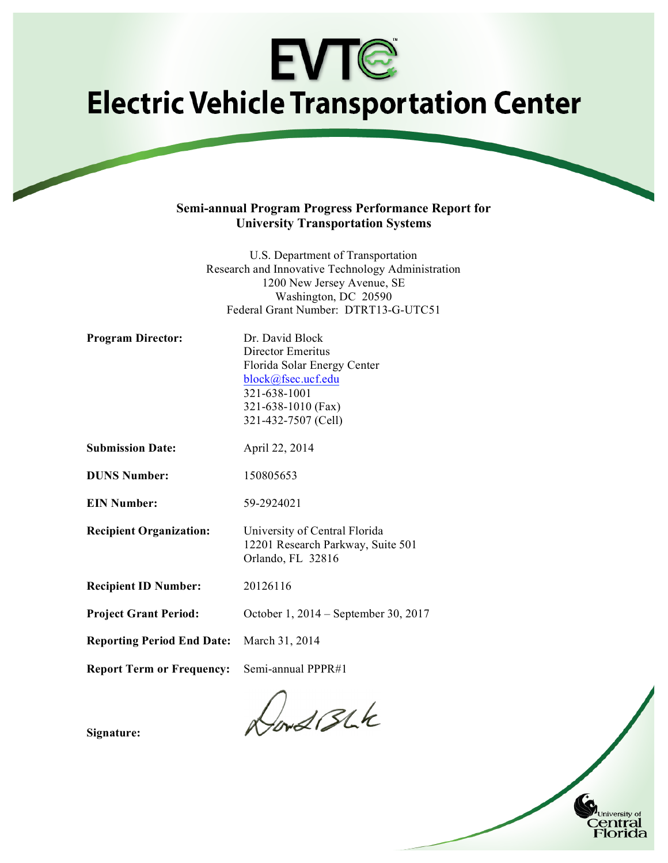# **EVTG Electric Vehicle Transportation Center**

#### **Semi-annual Program Progress Performance Report for University Transportation Systems**

U.S. Department of Transportation Research and Innovative Technology Administration 1200 New Jersey Avenue, SE Washington, DC 20590 Federal Grant Number: DTRT13-G-UTC51

| <b>Program Director:</b>          | Dr. David Block                                                                         |  |  |  |
|-----------------------------------|-----------------------------------------------------------------------------------------|--|--|--|
|                                   | Director Emeritus                                                                       |  |  |  |
|                                   | Florida Solar Energy Center                                                             |  |  |  |
|                                   | block@fsec.ucf.edu                                                                      |  |  |  |
|                                   | 321-638-1001                                                                            |  |  |  |
|                                   | 321-638-1010 (Fax)                                                                      |  |  |  |
|                                   | 321-432-7507 (Cell)                                                                     |  |  |  |
| <b>Submission Date:</b>           | April 22, 2014                                                                          |  |  |  |
| <b>DUNS Number:</b>               | 150805653                                                                               |  |  |  |
| <b>EIN Number:</b>                | 59-2924021                                                                              |  |  |  |
| <b>Recipient Organization:</b>    | University of Central Florida<br>12201 Research Parkway, Suite 501<br>Orlando, FL 32816 |  |  |  |
| <b>Recipient ID Number:</b>       | 20126116                                                                                |  |  |  |
| <b>Project Grant Period:</b>      | October 1, 2014 – September 30, 2017                                                    |  |  |  |
| <b>Reporting Period End Date:</b> | March 31, 2014                                                                          |  |  |  |
| <b>Report Term or Frequency:</b>  | Semi-annual PPPR#1                                                                      |  |  |  |
|                                   | $\sqrt{2}$                                                                              |  |  |  |

Hors Blk

1

University of Central Florida

**Signature:**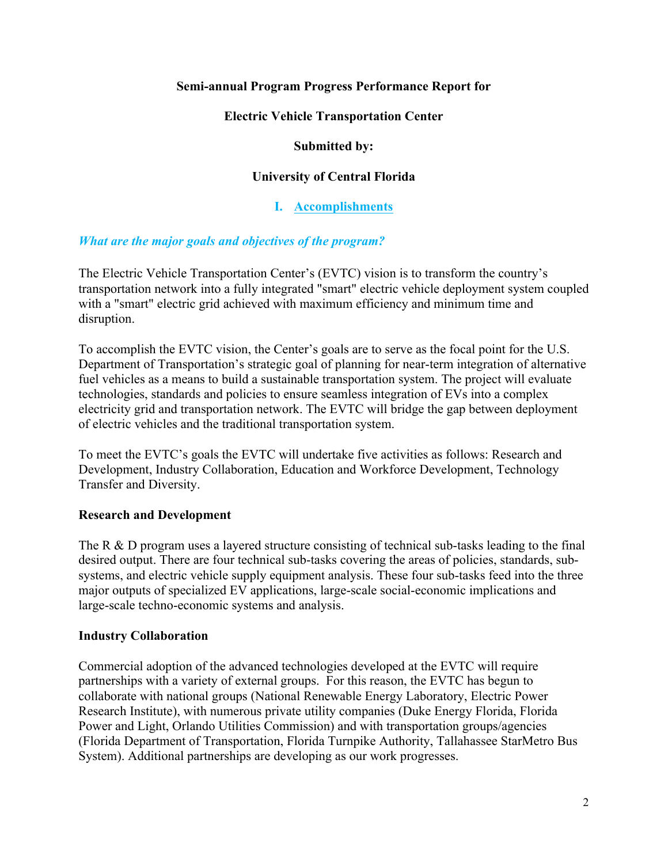# **Semi-annual Program Progress Performance Report for**

# **Electric Vehicle Transportation Center**

### **Submitted by:**

# **University of Central Florida**

**I. Accomplishments**

# *What are the major goals and objectives of the program?*

The Electric Vehicle Transportation Center's (EVTC) vision is to transform the country's transportation network into a fully integrated "smart" electric vehicle deployment system coupled with a "smart" electric grid achieved with maximum efficiency and minimum time and disruption.

To accomplish the EVTC vision, the Center's goals are to serve as the focal point for the U.S. Department of Transportation's strategic goal of planning for near-term integration of alternative fuel vehicles as a means to build a sustainable transportation system. The project will evaluate technologies, standards and policies to ensure seamless integration of EVs into a complex electricity grid and transportation network. The EVTC will bridge the gap between deployment of electric vehicles and the traditional transportation system.

To meet the EVTC's goals the EVTC will undertake five activities as follows: Research and Development, Industry Collaboration, Education and Workforce Development, Technology Transfer and Diversity.

# **Research and Development**

The R & D program uses a layered structure consisting of technical sub-tasks leading to the final desired output. There are four technical sub-tasks covering the areas of policies, standards, subsystems, and electric vehicle supply equipment analysis. These four sub-tasks feed into the three major outputs of specialized EV applications, large-scale social-economic implications and large-scale techno-economic systems and analysis.

# **Industry Collaboration**

Commercial adoption of the advanced technologies developed at the EVTC will require partnerships with a variety of external groups. For this reason, the EVTC has begun to collaborate with national groups (National Renewable Energy Laboratory, Electric Power Research Institute), with numerous private utility companies (Duke Energy Florida, Florida Power and Light, Orlando Utilities Commission) and with transportation groups/agencies (Florida Department of Transportation, Florida Turnpike Authority, Tallahassee StarMetro Bus System). Additional partnerships are developing as our work progresses.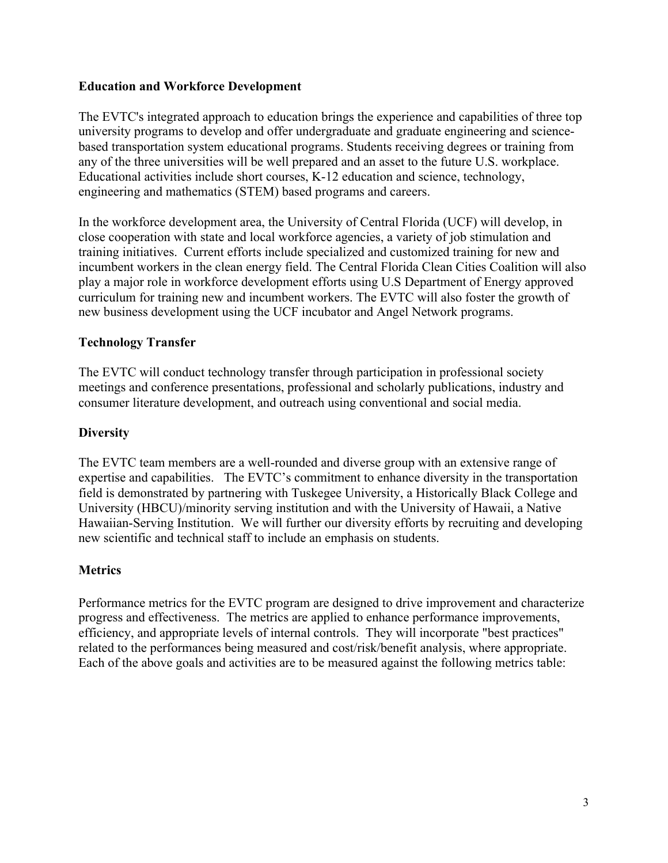### **Education and Workforce Development**

The EVTC's integrated approach to education brings the experience and capabilities of three top university programs to develop and offer undergraduate and graduate engineering and sciencebased transportation system educational programs. Students receiving degrees or training from any of the three universities will be well prepared and an asset to the future U.S. workplace. Educational activities include short courses, K-12 education and science, technology, engineering and mathematics (STEM) based programs and careers.

In the workforce development area, the University of Central Florida (UCF) will develop, in close cooperation with state and local workforce agencies, a variety of job stimulation and training initiatives. Current efforts include specialized and customized training for new and incumbent workers in the clean energy field. The Central Florida Clean Cities Coalition will also play a major role in workforce development efforts using U.S Department of Energy approved curriculum for training new and incumbent workers. The EVTC will also foster the growth of new business development using the UCF incubator and Angel Network programs.

#### **Technology Transfer**

The EVTC will conduct technology transfer through participation in professional society meetings and conference presentations, professional and scholarly publications, industry and consumer literature development, and outreach using conventional and social media.

#### **Diversity**

The EVTC team members are a well-rounded and diverse group with an extensive range of expertise and capabilities. The EVTC's commitment to enhance diversity in the transportation field is demonstrated by partnering with Tuskegee University, a Historically Black College and University (HBCU)/minority serving institution and with the University of Hawaii, a Native Hawaiian-Serving Institution. We will further our diversity efforts by recruiting and developing new scientific and technical staff to include an emphasis on students.

#### **Metrics**

Performance metrics for the EVTC program are designed to drive improvement and characterize progress and effectiveness. The metrics are applied to enhance performance improvements, efficiency, and appropriate levels of internal controls. They will incorporate "best practices" related to the performances being measured and cost/risk/benefit analysis, where appropriate. Each of the above goals and activities are to be measured against the following metrics table: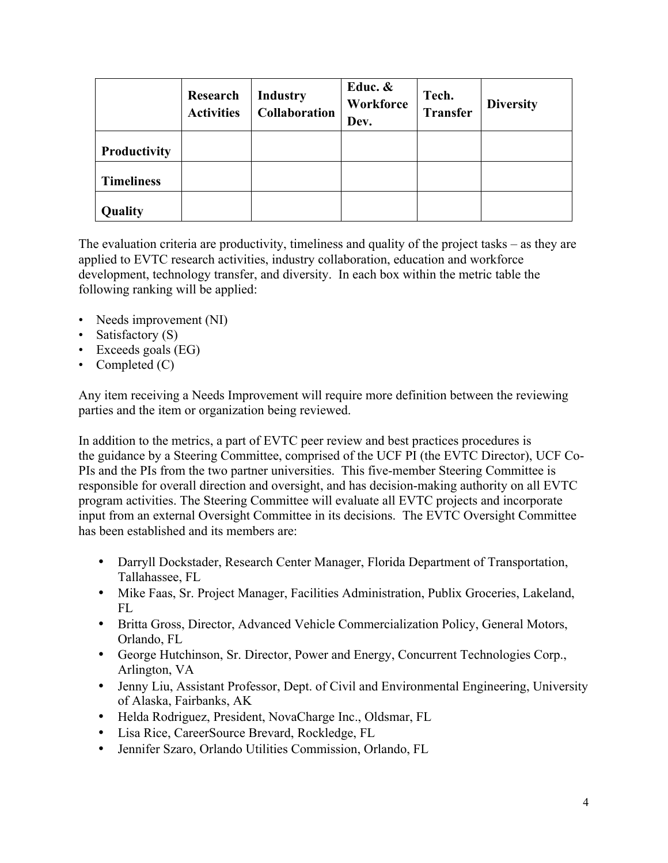|                   | Research<br><b>Activities</b> | <b>Industry</b><br><b>Collaboration</b> | Educ. &<br>Workforce<br>Dev. | Tech.<br>Transfer | <b>Diversity</b> |
|-------------------|-------------------------------|-----------------------------------------|------------------------------|-------------------|------------------|
| Productivity      |                               |                                         |                              |                   |                  |
| <b>Timeliness</b> |                               |                                         |                              |                   |                  |
| Quality           |                               |                                         |                              |                   |                  |

The evaluation criteria are productivity, timeliness and quality of the project tasks – as they are applied to EVTC research activities, industry collaboration, education and workforce development, technology transfer, and diversity. In each box within the metric table the following ranking will be applied:

- Needs improvement (NI)
- Satisfactory (S)
- Exceeds goals (EG)
- Completed (C)

Any item receiving a Needs Improvement will require more definition between the reviewing parties and the item or organization being reviewed.

In addition to the metrics, a part of EVTC peer review and best practices procedures is the guidance by a Steering Committee, comprised of the UCF PI (the EVTC Director), UCF Co-PIs and the PIs from the two partner universities. This five-member Steering Committee is responsible for overall direction and oversight, and has decision-making authority on all EVTC program activities. The Steering Committee will evaluate all EVTC projects and incorporate input from an external Oversight Committee in its decisions. The EVTC Oversight Committee has been established and its members are:

- Darryll Dockstader, Research Center Manager, Florida Department of Transportation, Tallahassee, FL
- Mike Faas, Sr. Project Manager, Facilities Administration, Publix Groceries, Lakeland,  $FI.$
- Britta Gross, Director, Advanced Vehicle Commercialization Policy, General Motors, Orlando, FL
- George Hutchinson, Sr. Director, Power and Energy, Concurrent Technologies Corp., Arlington, VA
- Jenny Liu, Assistant Professor, Dept. of Civil and Environmental Engineering, University of Alaska, Fairbanks, AK
- Helda Rodriguez, President, NovaCharge Inc., Oldsmar, FL
- Lisa Rice, CareerSource Brevard, Rockledge, FL
- Jennifer Szaro, Orlando Utilities Commission, Orlando, FL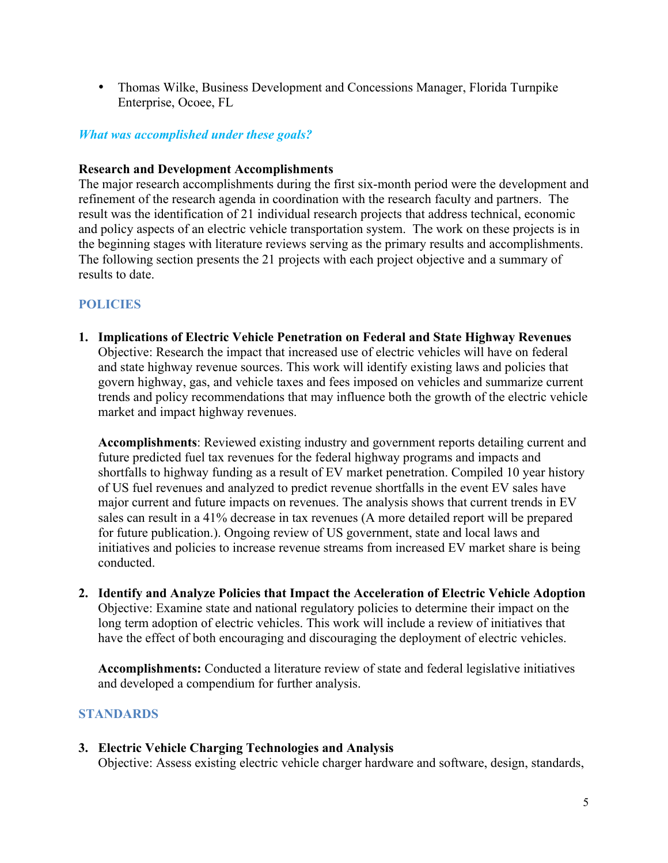• Thomas Wilke, Business Development and Concessions Manager, Florida Turnpike Enterprise, Ocoee, FL

# *What was accomplished under these goals?*

### **Research and Development Accomplishments**

The major research accomplishments during the first six-month period were the development and refinement of the research agenda in coordination with the research faculty and partners. The result was the identification of 21 individual research projects that address technical, economic and policy aspects of an electric vehicle transportation system. The work on these projects is in the beginning stages with literature reviews serving as the primary results and accomplishments. The following section presents the 21 projects with each project objective and a summary of results to date.

# **POLICIES**

**1. Implications of Electric Vehicle Penetration on Federal and State Highway Revenues** Objective: Research the impact that increased use of electric vehicles will have on federal and state highway revenue sources. This work will identify existing laws and policies that govern highway, gas, and vehicle taxes and fees imposed on vehicles and summarize current trends and policy recommendations that may influence both the growth of the electric vehicle market and impact highway revenues.

**Accomplishments**: Reviewed existing industry and government reports detailing current and future predicted fuel tax revenues for the federal highway programs and impacts and shortfalls to highway funding as a result of EV market penetration. Compiled 10 year history of US fuel revenues and analyzed to predict revenue shortfalls in the event EV sales have major current and future impacts on revenues. The analysis shows that current trends in EV sales can result in a 41% decrease in tax revenues (A more detailed report will be prepared for future publication.). Ongoing review of US government, state and local laws and initiatives and policies to increase revenue streams from increased EV market share is being conducted.

**2. Identify and Analyze Policies that Impact the Acceleration of Electric Vehicle Adoption** Objective: Examine state and national regulatory policies to determine their impact on the long term adoption of electric vehicles. This work will include a review of initiatives that have the effect of both encouraging and discouraging the deployment of electric vehicles.

**Accomplishments:** Conducted a literature review of state and federal legislative initiatives and developed a compendium for further analysis.

# **STANDARDS**

# **3. Electric Vehicle Charging Technologies and Analysis**

Objective: Assess existing electric vehicle charger hardware and software, design, standards,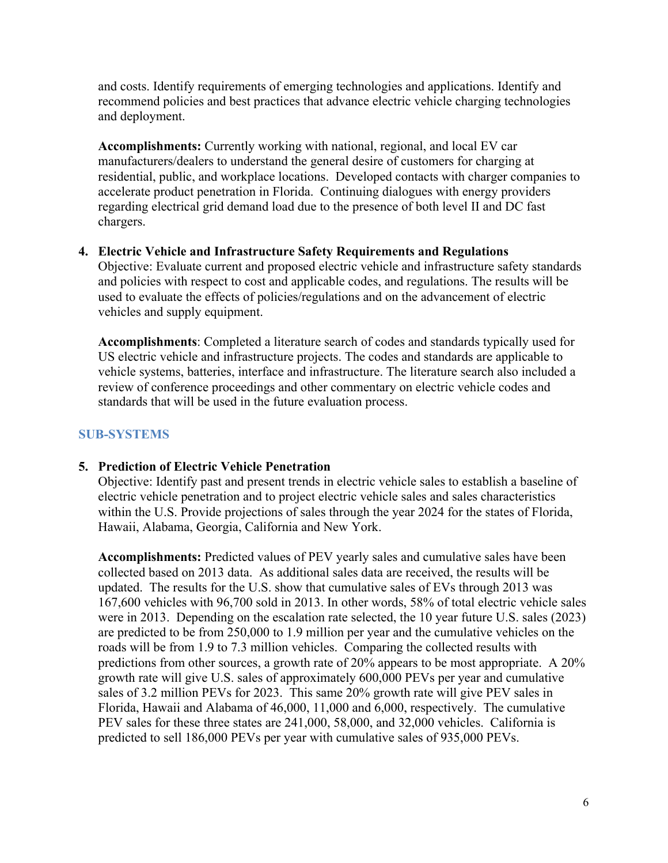and costs. Identify requirements of emerging technologies and applications. Identify and recommend policies and best practices that advance electric vehicle charging technologies and deployment.

**Accomplishments:** Currently working with national, regional, and local EV car manufacturers/dealers to understand the general desire of customers for charging at residential, public, and workplace locations. Developed contacts with charger companies to accelerate product penetration in Florida. Continuing dialogues with energy providers regarding electrical grid demand load due to the presence of both level II and DC fast chargers.

#### **4. Electric Vehicle and Infrastructure Safety Requirements and Regulations**

Objective: Evaluate current and proposed electric vehicle and infrastructure safety standards and policies with respect to cost and applicable codes, and regulations. The results will be used to evaluate the effects of policies/regulations and on the advancement of electric vehicles and supply equipment.

**Accomplishments**: Completed a literature search of codes and standards typically used for US electric vehicle and infrastructure projects. The codes and standards are applicable to vehicle systems, batteries, interface and infrastructure. The literature search also included a review of conference proceedings and other commentary on electric vehicle codes and standards that will be used in the future evaluation process.

# **SUB-SYSTEMS**

# **5. Prediction of Electric Vehicle Penetration**

Objective: Identify past and present trends in electric vehicle sales to establish a baseline of electric vehicle penetration and to project electric vehicle sales and sales characteristics within the U.S. Provide projections of sales through the year 2024 for the states of Florida, Hawaii, Alabama, Georgia, California and New York.

**Accomplishments:** Predicted values of PEV yearly sales and cumulative sales have been collected based on 2013 data. As additional sales data are received, the results will be updated. The results for the U.S. show that cumulative sales of EVs through 2013 was 167,600 vehicles with 96,700 sold in 2013. In other words, 58% of total electric vehicle sales were in 2013. Depending on the escalation rate selected, the 10 year future U.S. sales (2023) are predicted to be from 250,000 to 1.9 million per year and the cumulative vehicles on the roads will be from 1.9 to 7.3 million vehicles. Comparing the collected results with predictions from other sources, a growth rate of 20% appears to be most appropriate. A 20% growth rate will give U.S. sales of approximately 600,000 PEVs per year and cumulative sales of 3.2 million PEVs for 2023. This same 20% growth rate will give PEV sales in Florida, Hawaii and Alabama of 46,000, 11,000 and 6,000, respectively. The cumulative PEV sales for these three states are 241,000, 58,000, and 32,000 vehicles. California is predicted to sell 186,000 PEVs per year with cumulative sales of 935,000 PEVs.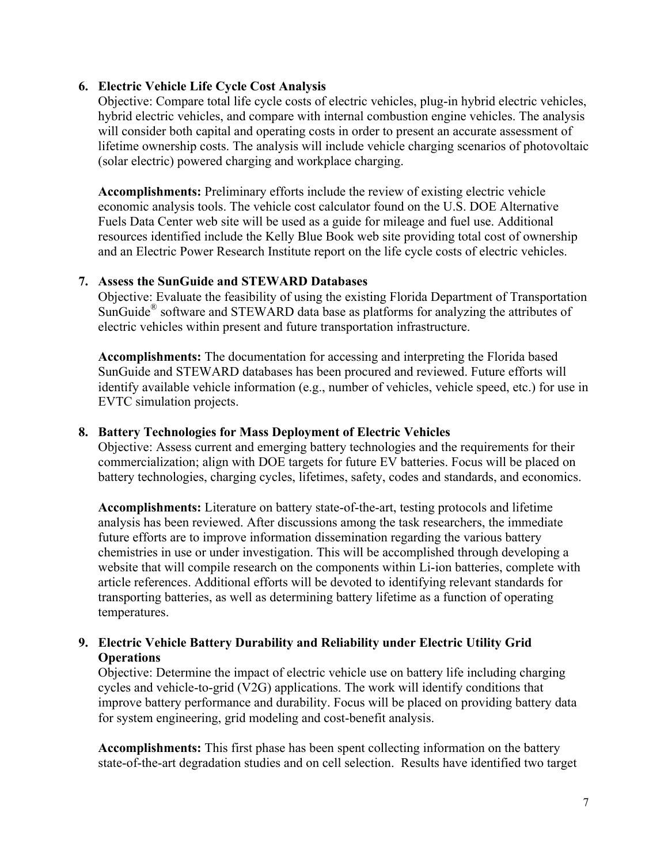#### **6. Electric Vehicle Life Cycle Cost Analysis**

Objective: Compare total life cycle costs of electric vehicles, plug-in hybrid electric vehicles, hybrid electric vehicles, and compare with internal combustion engine vehicles. The analysis will consider both capital and operating costs in order to present an accurate assessment of lifetime ownership costs. The analysis will include vehicle charging scenarios of photovoltaic (solar electric) powered charging and workplace charging.

**Accomplishments:** Preliminary efforts include the review of existing electric vehicle economic analysis tools. The vehicle cost calculator found on the U.S. DOE Alternative Fuels Data Center web site will be used as a guide for mileage and fuel use. Additional resources identified include the Kelly Blue Book web site providing total cost of ownership and an Electric Power Research Institute report on the life cycle costs of electric vehicles.

#### **7. Assess the SunGuide and STEWARD Databases**

Objective: Evaluate the feasibility of using the existing Florida Department of Transportation SunGuide<sup>®</sup> software and STEWARD data base as platforms for analyzing the attributes of electric vehicles within present and future transportation infrastructure.

**Accomplishments:** The documentation for accessing and interpreting the Florida based SunGuide and STEWARD databases has been procured and reviewed. Future efforts will identify available vehicle information (e.g., number of vehicles, vehicle speed, etc.) for use in EVTC simulation projects.

#### **8. Battery Technologies for Mass Deployment of Electric Vehicles**

Objective: Assess current and emerging battery technologies and the requirements for their commercialization; align with DOE targets for future EV batteries. Focus will be placed on battery technologies, charging cycles, lifetimes, safety, codes and standards, and economics.

**Accomplishments:** Literature on battery state-of-the-art, testing protocols and lifetime analysis has been reviewed. After discussions among the task researchers, the immediate future efforts are to improve information dissemination regarding the various battery chemistries in use or under investigation. This will be accomplished through developing a website that will compile research on the components within Li-ion batteries, complete with article references. Additional efforts will be devoted to identifying relevant standards for transporting batteries, as well as determining battery lifetime as a function of operating temperatures.

# **9. Electric Vehicle Battery Durability and Reliability under Electric Utility Grid Operations**

Objective: Determine the impact of electric vehicle use on battery life including charging cycles and vehicle-to-grid (V2G) applications. The work will identify conditions that improve battery performance and durability. Focus will be placed on providing battery data for system engineering, grid modeling and cost-benefit analysis.

**Accomplishments:** This first phase has been spent collecting information on the battery state-of-the-art degradation studies and on cell selection. Results have identified two target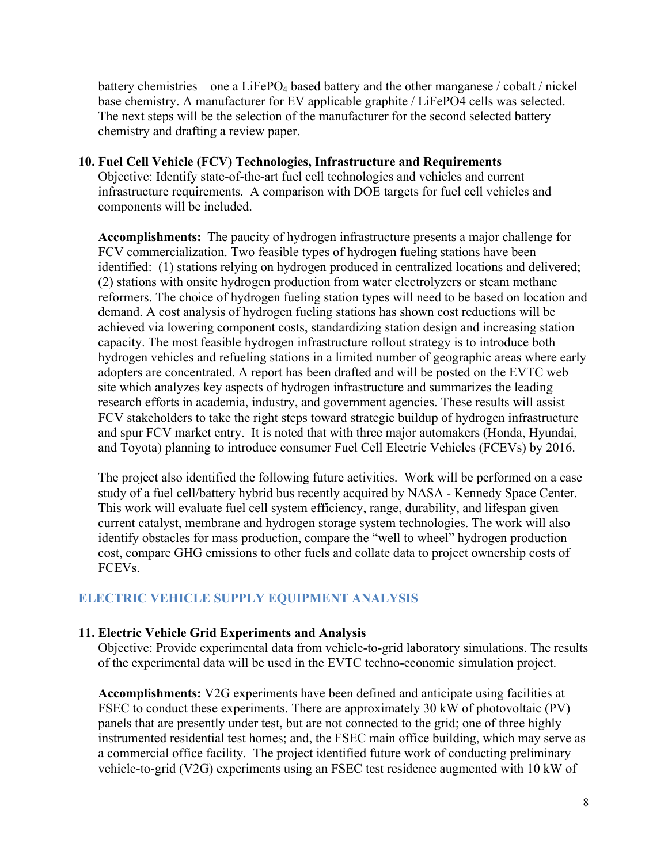battery chemistries – one a  $LiFePO<sub>4</sub>$  based battery and the other manganese / cobalt / nickel base chemistry. A manufacturer for EV applicable graphite / LiFePO4 cells was selected. The next steps will be the selection of the manufacturer for the second selected battery chemistry and drafting a review paper.

# **10. Fuel Cell Vehicle (FCV) Technologies, Infrastructure and Requirements**

Objective: Identify state-of-the-art fuel cell technologies and vehicles and current infrastructure requirements. A comparison with DOE targets for fuel cell vehicles and components will be included.

**Accomplishments:** The paucity of hydrogen infrastructure presents a major challenge for FCV commercialization. Two feasible types of hydrogen fueling stations have been identified: (1) stations relying on hydrogen produced in centralized locations and delivered; (2) stations with onsite hydrogen production from water electrolyzers or steam methane reformers. The choice of hydrogen fueling station types will need to be based on location and demand. A cost analysis of hydrogen fueling stations has shown cost reductions will be achieved via lowering component costs, standardizing station design and increasing station capacity. The most feasible hydrogen infrastructure rollout strategy is to introduce both hydrogen vehicles and refueling stations in a limited number of geographic areas where early adopters are concentrated. A report has been drafted and will be posted on the EVTC web site which analyzes key aspects of hydrogen infrastructure and summarizes the leading research efforts in academia, industry, and government agencies. These results will assist FCV stakeholders to take the right steps toward strategic buildup of hydrogen infrastructure and spur FCV market entry. It is noted that with three major automakers (Honda, Hyundai, and Toyota) planning to introduce consumer Fuel Cell Electric Vehicles (FCEVs) by 2016.

The project also identified the following future activities. Work will be performed on a case study of a fuel cell/battery hybrid bus recently acquired by NASA - Kennedy Space Center. This work will evaluate fuel cell system efficiency, range, durability, and lifespan given current catalyst, membrane and hydrogen storage system technologies. The work will also identify obstacles for mass production, compare the "well to wheel" hydrogen production cost, compare GHG emissions to other fuels and collate data to project ownership costs of FCEVs.

# **ELECTRIC VEHICLE SUPPLY EQUIPMENT ANALYSIS**

# **11. Electric Vehicle Grid Experiments and Analysis**

Objective: Provide experimental data from vehicle-to-grid laboratory simulations. The results of the experimental data will be used in the EVTC techno-economic simulation project.

**Accomplishments:** V2G experiments have been defined and anticipate using facilities at FSEC to conduct these experiments. There are approximately 30 kW of photovoltaic (PV) panels that are presently under test, but are not connected to the grid; one of three highly instrumented residential test homes; and, the FSEC main office building, which may serve as a commercial office facility. The project identified future work of conducting preliminary vehicle-to-grid (V2G) experiments using an FSEC test residence augmented with 10 kW of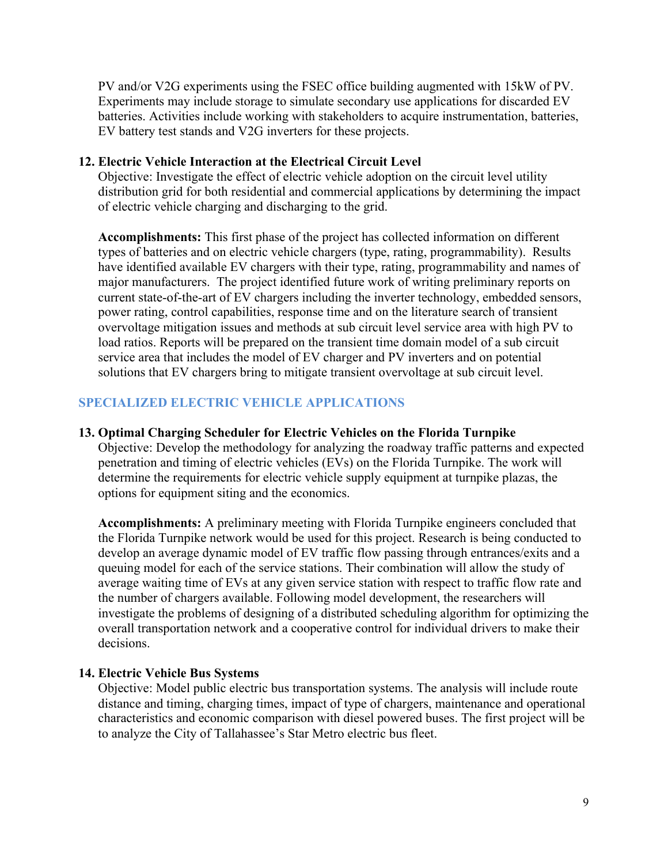PV and/or V2G experiments using the FSEC office building augmented with 15kW of PV. Experiments may include storage to simulate secondary use applications for discarded EV batteries. Activities include working with stakeholders to acquire instrumentation, batteries, EV battery test stands and V2G inverters for these projects.

#### **12. Electric Vehicle Interaction at the Electrical Circuit Level**

Objective: Investigate the effect of electric vehicle adoption on the circuit level utility distribution grid for both residential and commercial applications by determining the impact of electric vehicle charging and discharging to the grid.

**Accomplishments:** This first phase of the project has collected information on different types of batteries and on electric vehicle chargers (type, rating, programmability). Results have identified available EV chargers with their type, rating, programmability and names of major manufacturers. The project identified future work of writing preliminary reports on current state-of-the-art of EV chargers including the inverter technology, embedded sensors, power rating, control capabilities, response time and on the literature search of transient overvoltage mitigation issues and methods at sub circuit level service area with high PV to load ratios. Reports will be prepared on the transient time domain model of a sub circuit service area that includes the model of EV charger and PV inverters and on potential solutions that EV chargers bring to mitigate transient overvoltage at sub circuit level.

# **SPECIALIZED ELECTRIC VEHICLE APPLICATIONS**

#### **13. Optimal Charging Scheduler for Electric Vehicles on the Florida Turnpike**

Objective: Develop the methodology for analyzing the roadway traffic patterns and expected penetration and timing of electric vehicles (EVs) on the Florida Turnpike. The work will determine the requirements for electric vehicle supply equipment at turnpike plazas, the options for equipment siting and the economics.

**Accomplishments:** A preliminary meeting with Florida Turnpike engineers concluded that the Florida Turnpike network would be used for this project. Research is being conducted to develop an average dynamic model of EV traffic flow passing through entrances/exits and a queuing model for each of the service stations. Their combination will allow the study of average waiting time of EVs at any given service station with respect to traffic flow rate and the number of chargers available. Following model development, the researchers will investigate the problems of designing of a distributed scheduling algorithm for optimizing the overall transportation network and a cooperative control for individual drivers to make their decisions.

#### **14. Electric Vehicle Bus Systems**

Objective: Model public electric bus transportation systems. The analysis will include route distance and timing, charging times, impact of type of chargers, maintenance and operational characteristics and economic comparison with diesel powered buses. The first project will be to analyze the City of Tallahassee's Star Metro electric bus fleet.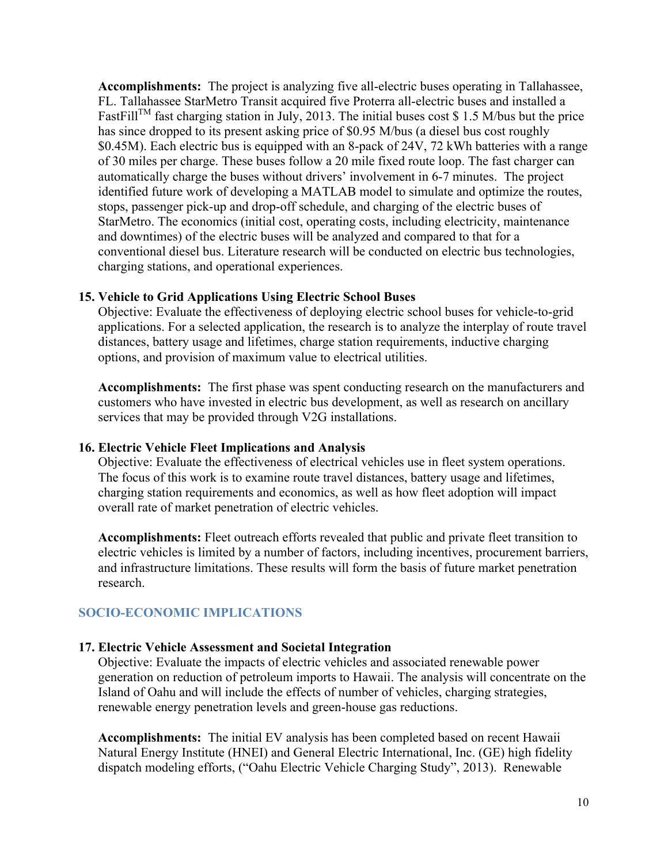**Accomplishments:** The project is analyzing five all-electric buses operating in Tallahassee, FL. Tallahassee StarMetro Transit acquired five Proterra all-electric buses and installed a FastFill<sup>TM</sup> fast charging station in July, 2013. The initial buses cost \$ 1.5 M/bus but the price has since dropped to its present asking price of \$0.95 M/bus (a diesel bus cost roughly \$0.45M). Each electric bus is equipped with an 8-pack of 24V, 72 kWh batteries with a range of 30 miles per charge. These buses follow a 20 mile fixed route loop. The fast charger can automatically charge the buses without drivers' involvement in 6-7 minutes. The project identified future work of developing a MATLAB model to simulate and optimize the routes, stops, passenger pick-up and drop-off schedule, and charging of the electric buses of StarMetro. The economics (initial cost, operating costs, including electricity, maintenance and downtimes) of the electric buses will be analyzed and compared to that for a conventional diesel bus. Literature research will be conducted on electric bus technologies, charging stations, and operational experiences.

#### **15. Vehicle to Grid Applications Using Electric School Buses**

Objective: Evaluate the effectiveness of deploying electric school buses for vehicle-to-grid applications. For a selected application, the research is to analyze the interplay of route travel distances, battery usage and lifetimes, charge station requirements, inductive charging options, and provision of maximum value to electrical utilities.

**Accomplishments:** The first phase was spent conducting research on the manufacturers and customers who have invested in electric bus development, as well as research on ancillary services that may be provided through V2G installations.

#### **16. Electric Vehicle Fleet Implications and Analysis**

Objective: Evaluate the effectiveness of electrical vehicles use in fleet system operations. The focus of this work is to examine route travel distances, battery usage and lifetimes, charging station requirements and economics, as well as how fleet adoption will impact overall rate of market penetration of electric vehicles.

**Accomplishments:** Fleet outreach efforts revealed that public and private fleet transition to electric vehicles is limited by a number of factors, including incentives, procurement barriers, and infrastructure limitations. These results will form the basis of future market penetration research.

# **SOCIO-ECONOMIC IMPLICATIONS**

#### **17. Electric Vehicle Assessment and Societal Integration**

Objective: Evaluate the impacts of electric vehicles and associated renewable power generation on reduction of petroleum imports to Hawaii. The analysis will concentrate on the Island of Oahu and will include the effects of number of vehicles, charging strategies, renewable energy penetration levels and green-house gas reductions.

**Accomplishments:** The initial EV analysis has been completed based on recent Hawaii Natural Energy Institute (HNEI) and General Electric International, Inc. (GE) high fidelity dispatch modeling efforts, ("Oahu Electric Vehicle Charging Study", 2013). Renewable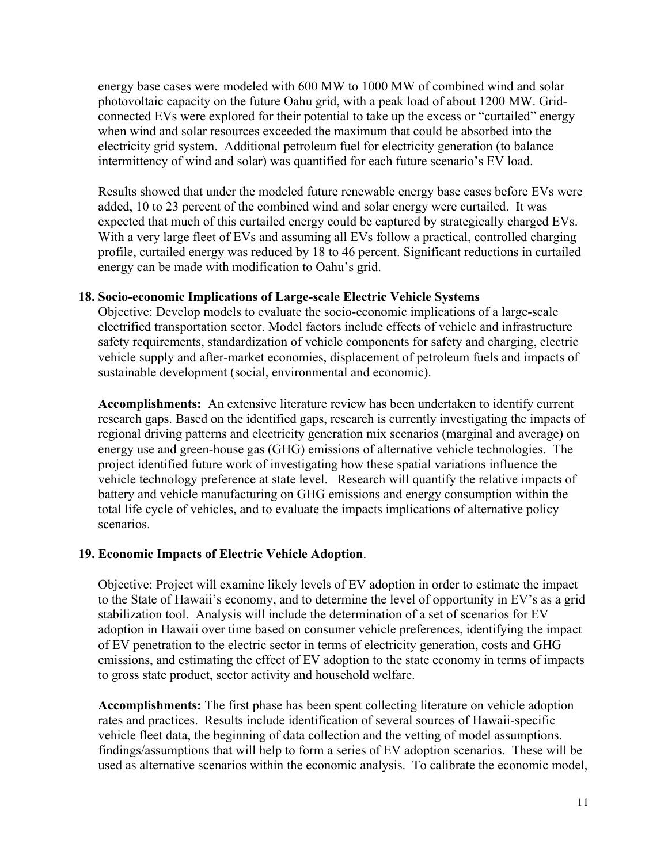energy base cases were modeled with 600 MW to 1000 MW of combined wind and solar photovoltaic capacity on the future Oahu grid, with a peak load of about 1200 MW. Gridconnected EVs were explored for their potential to take up the excess or "curtailed" energy when wind and solar resources exceeded the maximum that could be absorbed into the electricity grid system. Additional petroleum fuel for electricity generation (to balance intermittency of wind and solar) was quantified for each future scenario's EV load.

Results showed that under the modeled future renewable energy base cases before EVs were added, 10 to 23 percent of the combined wind and solar energy were curtailed. It was expected that much of this curtailed energy could be captured by strategically charged EVs. With a very large fleet of EVs and assuming all EVs follow a practical, controlled charging profile, curtailed energy was reduced by 18 to 46 percent. Significant reductions in curtailed energy can be made with modification to Oahu's grid.

#### **18. Socio-economic Implications of Large-scale Electric Vehicle Systems**

Objective: Develop models to evaluate the socio-economic implications of a large-scale electrified transportation sector. Model factors include effects of vehicle and infrastructure safety requirements, standardization of vehicle components for safety and charging, electric vehicle supply and after-market economies, displacement of petroleum fuels and impacts of sustainable development (social, environmental and economic).

**Accomplishments:** An extensive literature review has been undertaken to identify current research gaps. Based on the identified gaps, research is currently investigating the impacts of regional driving patterns and electricity generation mix scenarios (marginal and average) on energy use and green-house gas (GHG) emissions of alternative vehicle technologies. The project identified future work of investigating how these spatial variations influence the vehicle technology preference at state level. Research will quantify the relative impacts of battery and vehicle manufacturing on GHG emissions and energy consumption within the total life cycle of vehicles, and to evaluate the impacts implications of alternative policy scenarios.

# **19. Economic Impacts of Electric Vehicle Adoption**.

Objective: Project will examine likely levels of EV adoption in order to estimate the impact to the State of Hawaii's economy, and to determine the level of opportunity in EV's as a grid stabilization tool. Analysis will include the determination of a set of scenarios for EV adoption in Hawaii over time based on consumer vehicle preferences, identifying the impact of EV penetration to the electric sector in terms of electricity generation, costs and GHG emissions, and estimating the effect of EV adoption to the state economy in terms of impacts to gross state product, sector activity and household welfare.

**Accomplishments:** The first phase has been spent collecting literature on vehicle adoption rates and practices. Results include identification of several sources of Hawaii-specific vehicle fleet data, the beginning of data collection and the vetting of model assumptions. findings/assumptions that will help to form a series of EV adoption scenarios. These will be used as alternative scenarios within the economic analysis. To calibrate the economic model,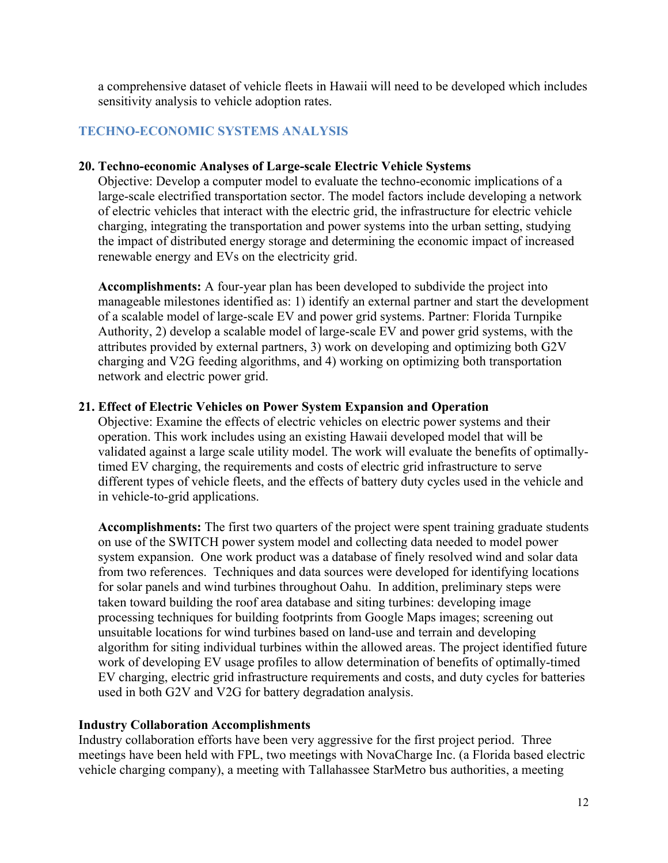a comprehensive dataset of vehicle fleets in Hawaii will need to be developed which includes sensitivity analysis to vehicle adoption rates.

# **TECHNO-ECONOMIC SYSTEMS ANALYSIS**

#### **20. Techno-economic Analyses of Large-scale Electric Vehicle Systems**

Objective: Develop a computer model to evaluate the techno-economic implications of a large-scale electrified transportation sector. The model factors include developing a network of electric vehicles that interact with the electric grid, the infrastructure for electric vehicle charging, integrating the transportation and power systems into the urban setting, studying the impact of distributed energy storage and determining the economic impact of increased renewable energy and EVs on the electricity grid.

**Accomplishments:** A four-year plan has been developed to subdivide the project into manageable milestones identified as: 1) identify an external partner and start the development of a scalable model of large-scale EV and power grid systems. Partner: Florida Turnpike Authority, 2) develop a scalable model of large-scale EV and power grid systems, with the attributes provided by external partners, 3) work on developing and optimizing both G2V charging and V2G feeding algorithms, and 4) working on optimizing both transportation network and electric power grid.

#### **21. Effect of Electric Vehicles on Power System Expansion and Operation**

Objective: Examine the effects of electric vehicles on electric power systems and their operation. This work includes using an existing Hawaii developed model that will be validated against a large scale utility model. The work will evaluate the benefits of optimallytimed EV charging, the requirements and costs of electric grid infrastructure to serve different types of vehicle fleets, and the effects of battery duty cycles used in the vehicle and in vehicle-to-grid applications.

**Accomplishments:** The first two quarters of the project were spent training graduate students on use of the SWITCH power system model and collecting data needed to model power system expansion. One work product was a database of finely resolved wind and solar data from two references. Techniques and data sources were developed for identifying locations for solar panels and wind turbines throughout Oahu. In addition, preliminary steps were taken toward building the roof area database and siting turbines: developing image processing techniques for building footprints from Google Maps images; screening out unsuitable locations for wind turbines based on land-use and terrain and developing algorithm for siting individual turbines within the allowed areas. The project identified future work of developing EV usage profiles to allow determination of benefits of optimally-timed EV charging, electric grid infrastructure requirements and costs, and duty cycles for batteries used in both G2V and V2G for battery degradation analysis.

#### **Industry Collaboration Accomplishments**

Industry collaboration efforts have been very aggressive for the first project period. Three meetings have been held with FPL, two meetings with NovaCharge Inc. (a Florida based electric vehicle charging company), a meeting with Tallahassee StarMetro bus authorities, a meeting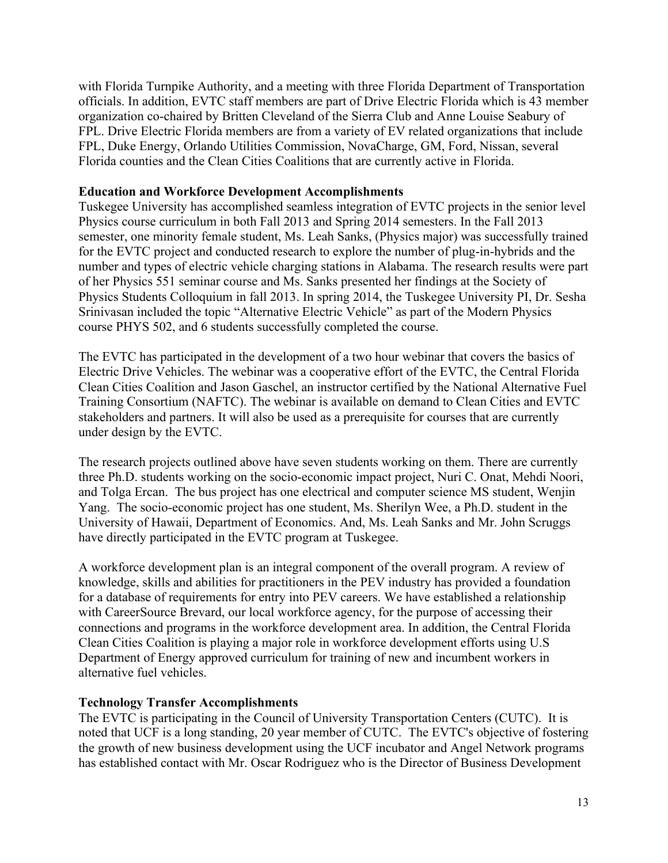with Florida Turnpike Authority, and a meeting with three Florida Department of Transportation officials. In addition, EVTC staff members are part of Drive Electric Florida which is 43 member organization co-chaired by Britten Cleveland of the Sierra Club and Anne Louise Seabury of FPL. Drive Electric Florida members are from a variety of EV related organizations that include FPL, Duke Energy, Orlando Utilities Commission, NovaCharge, GM, Ford, Nissan, several Florida counties and the Clean Cities Coalitions that are currently active in Florida.

#### **Education and Workforce Development Accomplishments**

Tuskegee University has accomplished seamless integration of EVTC projects in the senior level Physics course curriculum in both Fall 2013 and Spring 2014 semesters. In the Fall 2013 semester, one minority female student, Ms. Leah Sanks, (Physics major) was successfully trained for the EVTC project and conducted research to explore the number of plug-in-hybrids and the number and types of electric vehicle charging stations in Alabama. The research results were part of her Physics 551 seminar course and Ms. Sanks presented her findings at the Society of Physics Students Colloquium in fall 2013. In spring 2014, the Tuskegee University PI, Dr. Sesha Srinivasan included the topic "Alternative Electric Vehicle" as part of the Modern Physics course PHYS 502, and 6 students successfully completed the course.

The EVTC has participated in the development of a two hour webinar that covers the basics of Electric Drive Vehicles. The webinar was a cooperative effort of the EVTC, the Central Florida Clean Cities Coalition and Jason Gaschel, an instructor certified by the National Alternative Fuel Training Consortium (NAFTC). The webinar is available on demand to Clean Cities and EVTC stakeholders and partners. It will also be used as a prerequisite for courses that are currently under design by the EVTC.

The research projects outlined above have seven students working on them. There are currently three Ph.D. students working on the socio-economic impact project, Nuri C. Onat, Mehdi Noori, and Tolga Ercan. The bus project has one electrical and computer science MS student, Wenjin Yang. The socio-economic project has one student, Ms. Sherilyn Wee, a Ph.D. student in the University of Hawaii, Department of Economics. And, Ms. Leah Sanks and Mr. John Scruggs have directly participated in the EVTC program at Tuskegee.

A workforce development plan is an integral component of the overall program. A review of knowledge, skills and abilities for practitioners in the PEV industry has provided a foundation for a database of requirements for entry into PEV careers. We have established a relationship with CareerSource Brevard, our local workforce agency, for the purpose of accessing their connections and programs in the workforce development area. In addition, the Central Florida Clean Cities Coalition is playing a major role in workforce development efforts using U.S Department of Energy approved curriculum for training of new and incumbent workers in alternative fuel vehicles.

#### **Technology Transfer Accomplishments**

The EVTC is participating in the Council of University Transportation Centers (CUTC). It is noted that UCF is a long standing, 20 year member of CUTC. The EVTC's objective of fostering the growth of new business development using the UCF incubator and Angel Network programs has established contact with Mr. Oscar Rodriguez who is the Director of Business Development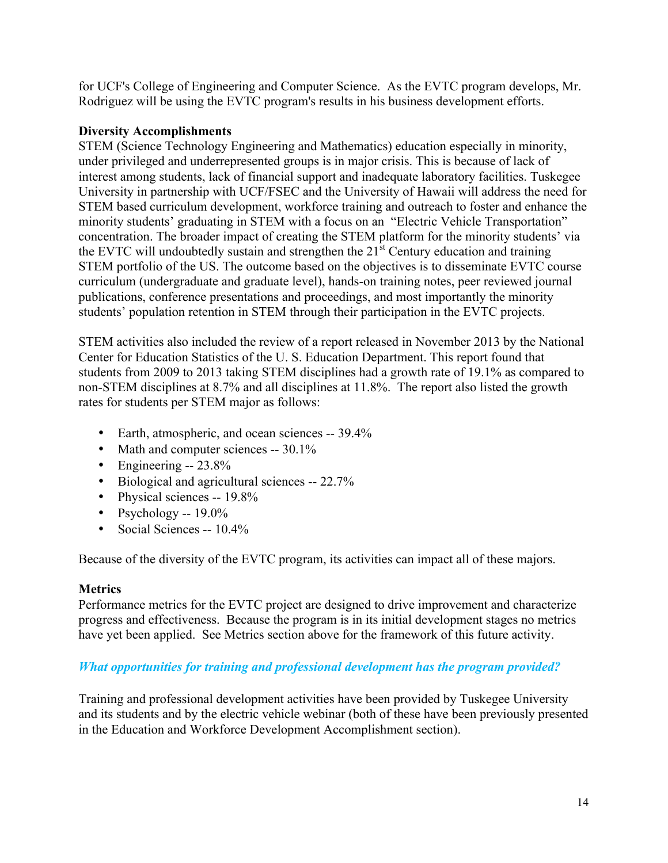for UCF's College of Engineering and Computer Science. As the EVTC program develops, Mr. Rodriguez will be using the EVTC program's results in his business development efforts.

# **Diversity Accomplishments**

STEM (Science Technology Engineering and Mathematics) education especially in minority, under privileged and underrepresented groups is in major crisis. This is because of lack of interest among students, lack of financial support and inadequate laboratory facilities. Tuskegee University in partnership with UCF/FSEC and the University of Hawaii will address the need for STEM based curriculum development, workforce training and outreach to foster and enhance the minority students' graduating in STEM with a focus on an "Electric Vehicle Transportation" concentration. The broader impact of creating the STEM platform for the minority students' via the EVTC will undoubtedly sustain and strengthen the  $21<sup>st</sup>$  Century education and training STEM portfolio of the US. The outcome based on the objectives is to disseminate EVTC course curriculum (undergraduate and graduate level), hands-on training notes, peer reviewed journal publications, conference presentations and proceedings, and most importantly the minority students' population retention in STEM through their participation in the EVTC projects.

STEM activities also included the review of a report released in November 2013 by the National Center for Education Statistics of the U. S. Education Department. This report found that students from 2009 to 2013 taking STEM disciplines had a growth rate of 19.1% as compared to non-STEM disciplines at 8.7% and all disciplines at 11.8%. The report also listed the growth rates for students per STEM major as follows:

- Earth, atmospheric, and ocean sciences -- 39.4%
- Math and computer sciences -- 30.1%
- Engineering -- 23.8%
- Biological and agricultural sciences -- 22.7%
- Physical sciences -- 19.8%
- Psychology --  $19.0\%$
- Social Sciences --  $10.4\%$

Because of the diversity of the EVTC program, its activities can impact all of these majors.

# **Metrics**

Performance metrics for the EVTC project are designed to drive improvement and characterize progress and effectiveness. Because the program is in its initial development stages no metrics have yet been applied. See Metrics section above for the framework of this future activity.

# *What opportunities for training and professional development has the program provided?*

Training and professional development activities have been provided by Tuskegee University and its students and by the electric vehicle webinar (both of these have been previously presented in the Education and Workforce Development Accomplishment section).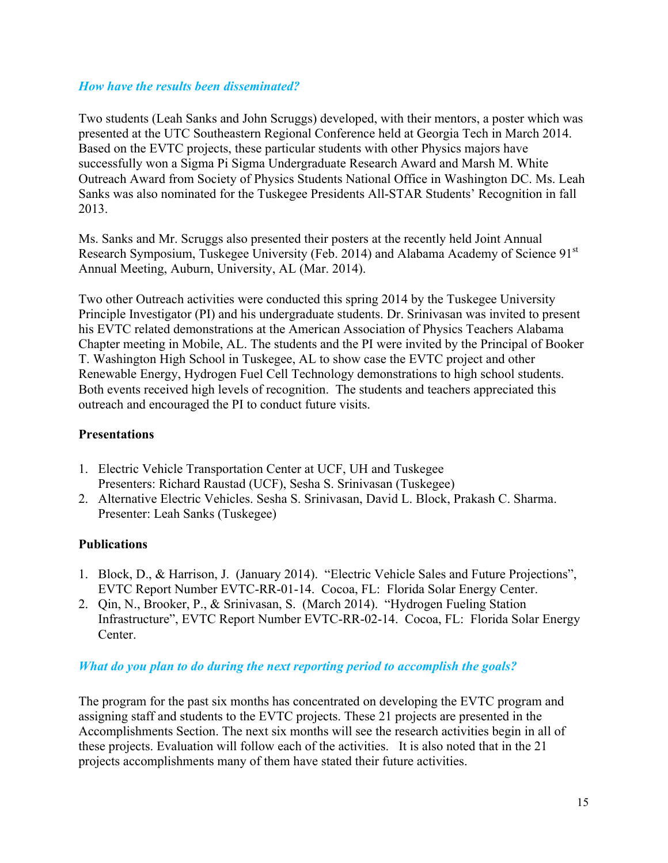# *How have the results been disseminated?*

Two students (Leah Sanks and John Scruggs) developed, with their mentors, a poster which was presented at the UTC Southeastern Regional Conference held at Georgia Tech in March 2014. Based on the EVTC projects, these particular students with other Physics majors have successfully won a Sigma Pi Sigma Undergraduate Research Award and Marsh M. White Outreach Award from Society of Physics Students National Office in Washington DC. Ms. Leah Sanks was also nominated for the Tuskegee Presidents All-STAR Students' Recognition in fall 2013.

Ms. Sanks and Mr. Scruggs also presented their posters at the recently held Joint Annual Research Symposium, Tuskegee University (Feb. 2014) and Alabama Academy of Science 91<sup>st</sup> Annual Meeting, Auburn, University, AL (Mar. 2014).

Two other Outreach activities were conducted this spring 2014 by the Tuskegee University Principle Investigator (PI) and his undergraduate students. Dr. Srinivasan was invited to present his EVTC related demonstrations at the American Association of Physics Teachers Alabama Chapter meeting in Mobile, AL. The students and the PI were invited by the Principal of Booker T. Washington High School in Tuskegee, AL to show case the EVTC project and other Renewable Energy, Hydrogen Fuel Cell Technology demonstrations to high school students. Both events received high levels of recognition. The students and teachers appreciated this outreach and encouraged the PI to conduct future visits.

### **Presentations**

- 1. Electric Vehicle Transportation Center at UCF, UH and Tuskegee Presenters: Richard Raustad (UCF), Sesha S. Srinivasan (Tuskegee)
- 2. Alternative Electric Vehicles. Sesha S. Srinivasan, David L. Block, Prakash C. Sharma. Presenter: Leah Sanks (Tuskegee)

#### **Publications**

- 1. Block, D., & Harrison, J. (January 2014). "Electric Vehicle Sales and Future Projections", EVTC Report Number EVTC-RR-01-14. Cocoa, FL: Florida Solar Energy Center.
- 2. Qin, N., Brooker, P., & Srinivasan, S. (March 2014). "Hydrogen Fueling Station Infrastructure", EVTC Report Number EVTC-RR-02-14. Cocoa, FL: Florida Solar Energy Center.

#### *What do you plan to do during the next reporting period to accomplish the goals?*

The program for the past six months has concentrated on developing the EVTC program and assigning staff and students to the EVTC projects. These 21 projects are presented in the Accomplishments Section. The next six months will see the research activities begin in all of these projects. Evaluation will follow each of the activities. It is also noted that in the 21 projects accomplishments many of them have stated their future activities.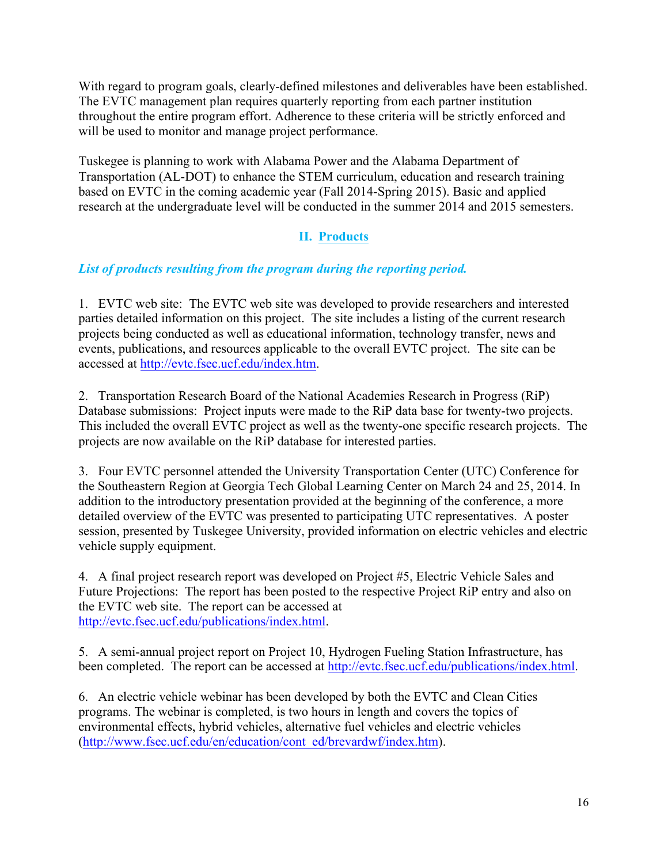With regard to program goals, clearly-defined milestones and deliverables have been established. The EVTC management plan requires quarterly reporting from each partner institution throughout the entire program effort. Adherence to these criteria will be strictly enforced and will be used to monitor and manage project performance.

Tuskegee is planning to work with Alabama Power and the Alabama Department of Transportation (AL-DOT) to enhance the STEM curriculum, education and research training based on EVTC in the coming academic year (Fall 2014-Spring 2015). Basic and applied research at the undergraduate level will be conducted in the summer 2014 and 2015 semesters.

# **II. Products**

# *List of products resulting from the program during the reporting period.*

1. EVTC web site: The EVTC web site was developed to provide researchers and interested parties detailed information on this project. The site includes a listing of the current research projects being conducted as well as educational information, technology transfer, news and events, publications, and resources applicable to the overall EVTC project. The site can be accessed at http://evtc.fsec.ucf.edu/index.htm.

2. Transportation Research Board of the National Academies Research in Progress (RiP) Database submissions: Project inputs were made to the RiP data base for twenty-two projects. This included the overall EVTC project as well as the twenty-one specific research projects. The projects are now available on the RiP database for interested parties.

3. Four EVTC personnel attended the University Transportation Center (UTC) Conference for the Southeastern Region at Georgia Tech Global Learning Center on March 24 and 25, 2014. In addition to the introductory presentation provided at the beginning of the conference, a more detailed overview of the EVTC was presented to participating UTC representatives. A poster session, presented by Tuskegee University, provided information on electric vehicles and electric vehicle supply equipment.

4. A final project research report was developed on Project #5, Electric Vehicle Sales and Future Projections: The report has been posted to the respective Project RiP entry and also on the EVTC web site. The report can be accessed at http://evtc.fsec.ucf.edu/publications/index.html.

5. A semi-annual project report on Project 10, Hydrogen Fueling Station Infrastructure, has been completed. The report can be accessed at http://evtc.fsec.ucf.edu/publications/index.html.

6. An electric vehicle webinar has been developed by both the EVTC and Clean Cities programs. The webinar is completed, is two hours in length and covers the topics of environmental effects, hybrid vehicles, alternative fuel vehicles and electric vehicles (http://www.fsec.ucf.edu/en/education/cont\_ed/brevardwf/index.htm).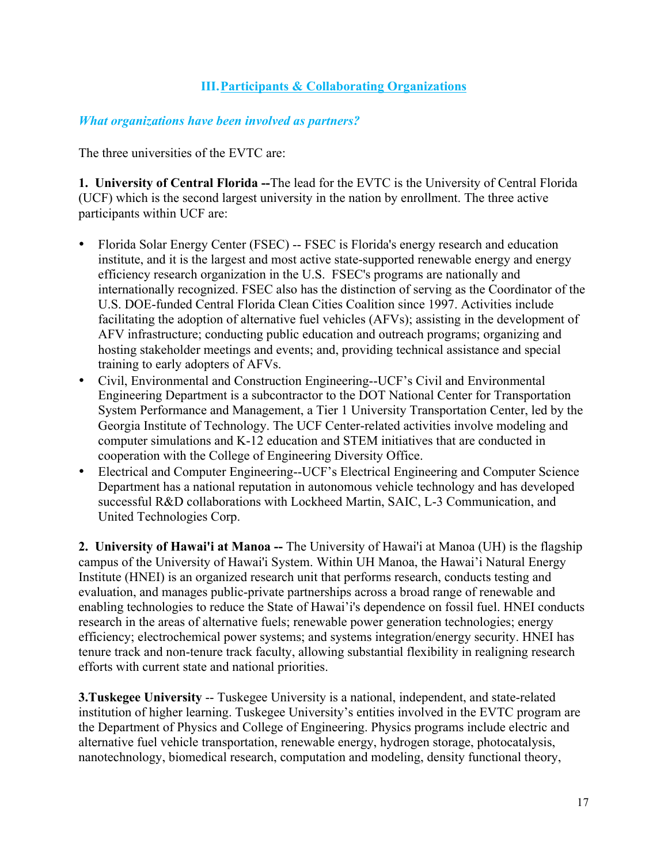# **III.Participants & Collaborating Organizations**

### *What organizations have been involved as partners?*

The three universities of the EVTC are:

**1. University of Central Florida --**The lead for the EVTC is the University of Central Florida (UCF) which is the second largest university in the nation by enrollment. The three active participants within UCF are:

- Florida Solar Energy Center (FSEC) -- FSEC is Florida's energy research and education institute, and it is the largest and most active state-supported renewable energy and energy efficiency research organization in the U.S. FSEC's programs are nationally and internationally recognized. FSEC also has the distinction of serving as the Coordinator of the U.S. DOE-funded Central Florida Clean Cities Coalition since 1997. Activities include facilitating the adoption of alternative fuel vehicles (AFVs); assisting in the development of AFV infrastructure; conducting public education and outreach programs; organizing and hosting stakeholder meetings and events; and, providing technical assistance and special training to early adopters of AFVs.
- Civil, Environmental and Construction Engineering--UCF's Civil and Environmental Engineering Department is a subcontractor to the DOT National Center for Transportation System Performance and Management, a Tier 1 University Transportation Center, led by the Georgia Institute of Technology. The UCF Center-related activities involve modeling and computer simulations and K-12 education and STEM initiatives that are conducted in cooperation with the College of Engineering Diversity Office.
- Electrical and Computer Engineering--UCF's Electrical Engineering and Computer Science Department has a national reputation in autonomous vehicle technology and has developed successful R&D collaborations with Lockheed Martin, SAIC, L-3 Communication, and United Technologies Corp.

**2. University of Hawai'i at Manoa --** The University of Hawai'i at Manoa (UH) is the flagship campus of the University of Hawai'i System. Within UH Manoa, the Hawai'i Natural Energy Institute (HNEI) is an organized research unit that performs research, conducts testing and evaluation, and manages public-private partnerships across a broad range of renewable and enabling technologies to reduce the State of Hawai'i's dependence on fossil fuel. HNEI conducts research in the areas of alternative fuels; renewable power generation technologies; energy efficiency; electrochemical power systems; and systems integration/energy security. HNEI has tenure track and non-tenure track faculty, allowing substantial flexibility in realigning research efforts with current state and national priorities.

**3.Tuskegee University** -- Tuskegee University is a national, independent, and state-related institution of higher learning. Tuskegee University's entities involved in the EVTC program are the Department of Physics and College of Engineering. Physics programs include electric and alternative fuel vehicle transportation, renewable energy, hydrogen storage, photocatalysis, nanotechnology, biomedical research, computation and modeling, density functional theory,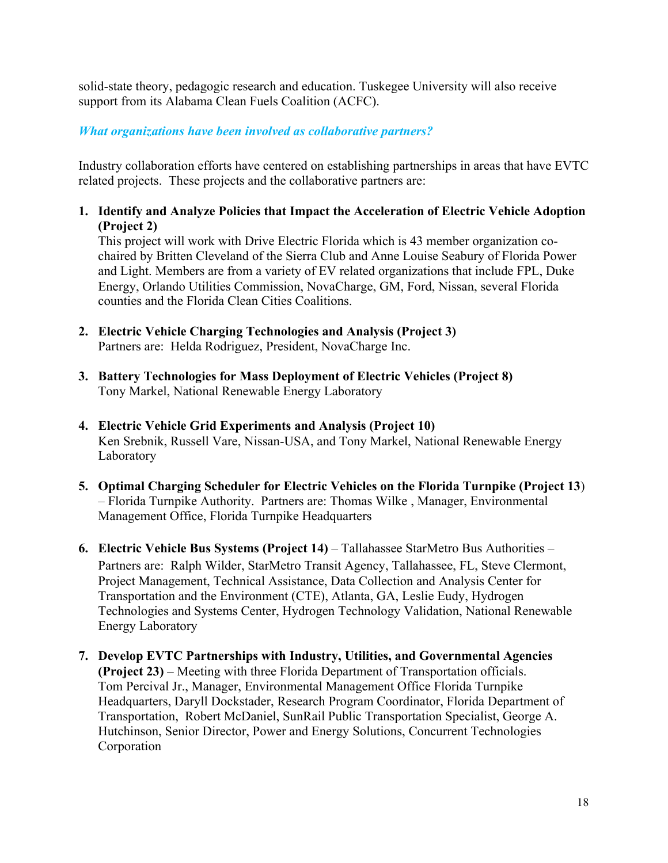solid-state theory, pedagogic research and education. Tuskegee University will also receive support from its Alabama Clean Fuels Coalition (ACFC).

# *What organizations have been involved as collaborative partners?*

Industry collaboration efforts have centered on establishing partnerships in areas that have EVTC related projects. These projects and the collaborative partners are:

**1. Identify and Analyze Policies that Impact the Acceleration of Electric Vehicle Adoption (Project 2)** 

This project will work with Drive Electric Florida which is 43 member organization cochaired by Britten Cleveland of the Sierra Club and Anne Louise Seabury of Florida Power and Light. Members are from a variety of EV related organizations that include FPL, Duke Energy, Orlando Utilities Commission, NovaCharge, GM, Ford, Nissan, several Florida counties and the Florida Clean Cities Coalitions.

- **2. Electric Vehicle Charging Technologies and Analysis (Project 3)** Partners are: Helda Rodriguez, President, NovaCharge Inc.
- **3. Battery Technologies for Mass Deployment of Electric Vehicles (Project 8)** Tony Markel, National Renewable Energy Laboratory
- **4. Electric Vehicle Grid Experiments and Analysis (Project 10)** Ken Srebnik, Russell Vare, Nissan-USA, and Tony Markel, National Renewable Energy Laboratory
- **5. Optimal Charging Scheduler for Electric Vehicles on the Florida Turnpike (Project 13**) – Florida Turnpike Authority. Partners are: Thomas Wilke , Manager, Environmental Management Office, Florida Turnpike Headquarters
- **6. Electric Vehicle Bus Systems (Project 14)** Tallahassee StarMetro Bus Authorities Partners are: Ralph Wilder, StarMetro Transit Agency, Tallahassee, FL, Steve Clermont, Project Management, Technical Assistance, Data Collection and Analysis Center for Transportation and the Environment (CTE), Atlanta, GA, Leslie Eudy, Hydrogen Technologies and Systems Center, Hydrogen Technology Validation, National Renewable Energy Laboratory
- **7. Develop EVTC Partnerships with Industry, Utilities, and Governmental Agencies (Project 23)** – Meeting with three Florida Department of Transportation officials. Tom Percival Jr., Manager, Environmental Management Office Florida Turnpike Headquarters, Daryll Dockstader, Research Program Coordinator, Florida Department of Transportation, Robert McDaniel, SunRail Public Transportation Specialist, George A. Hutchinson, Senior Director, Power and Energy Solutions, Concurrent Technologies Corporation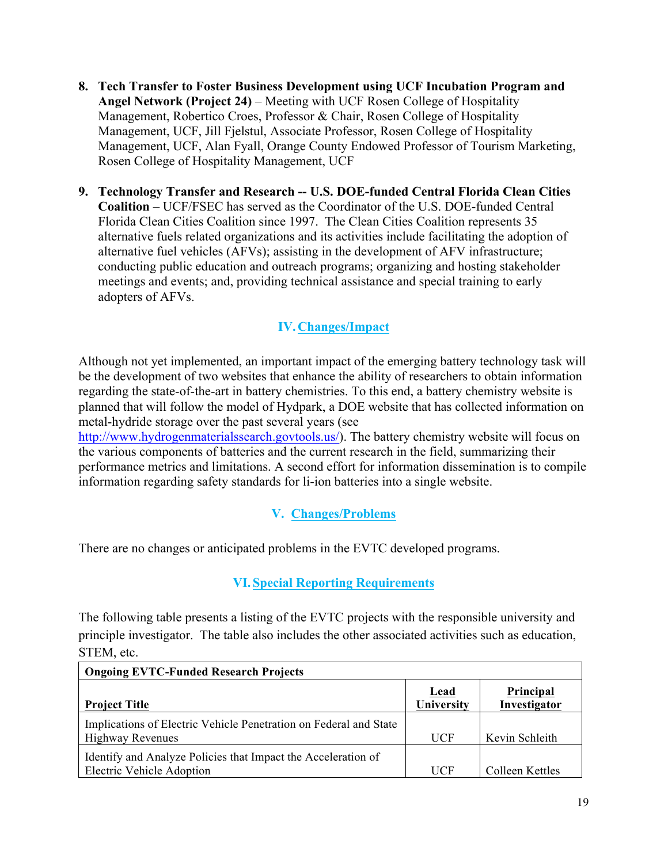- **8. Tech Transfer to Foster Business Development using UCF Incubation Program and Angel Network (Project 24)** – Meeting with UCF Rosen College of Hospitality Management, Robertico Croes, Professor & Chair, Rosen College of Hospitality Management, UCF, Jill Fjelstul, Associate Professor, Rosen College of Hospitality Management, UCF, Alan Fyall, Orange County Endowed Professor of Tourism Marketing, Rosen College of Hospitality Management, UCF
- **9. Technology Transfer and Research -- U.S. DOE-funded Central Florida Clean Cities Coalition** – UCF/FSEC has served as the Coordinator of the U.S. DOE-funded Central Florida Clean Cities Coalition since 1997. The Clean Cities Coalition represents 35 alternative fuels related organizations and its activities include facilitating the adoption of alternative fuel vehicles (AFVs); assisting in the development of AFV infrastructure; conducting public education and outreach programs; organizing and hosting stakeholder meetings and events; and, providing technical assistance and special training to early adopters of AFVs.

# **IV.Changes/Impact**

Although not yet implemented, an important impact of the emerging battery technology task will be the development of two websites that enhance the ability of researchers to obtain information regarding the state-of-the-art in battery chemistries. To this end, a battery chemistry website is planned that will follow the model of Hydpark, a DOE website that has collected information on metal-hydride storage over the past several years (see

http://www.hydrogenmaterialssearch.govtools.us/). The battery chemistry website will focus on the various components of batteries and the current research in the field, summarizing their performance metrics and limitations. A second effort for information dissemination is to compile information regarding safety standards for li-ion batteries into a single website.

# **V. Changes/Problems**

There are no changes or anticipated problems in the EVTC developed programs.

# **VI.Special Reporting Requirements**

The following table presents a listing of the EVTC projects with the responsible university and principle investigator. The table also includes the other associated activities such as education, STEM, etc.

| <b>Ongoing EVTC-Funded Research Projects</b>                                                 |                    |                           |  |  |  |
|----------------------------------------------------------------------------------------------|--------------------|---------------------------|--|--|--|
| <b>Project Title</b>                                                                         | Lead<br>University | Principal<br>Investigator |  |  |  |
| Implications of Electric Vehicle Penetration on Federal and State<br><b>Highway Revenues</b> | <b>UCF</b>         | Kevin Schleith            |  |  |  |
| Identify and Analyze Policies that Impact the Acceleration of<br>Electric Vehicle Adoption   | <b>UCF</b>         | Colleen Kettles           |  |  |  |